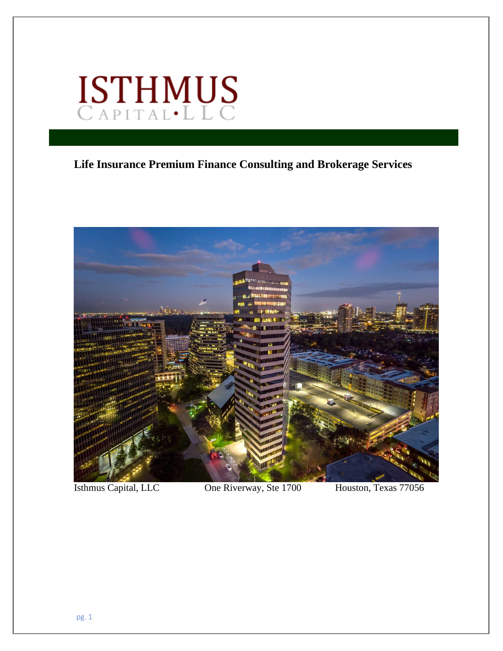

## **Life Insurance Premium Finance Consulting and Brokerage Services**



Isthmus Capital, LLC One Riverway, Ste 1700 Houston, Texas 77056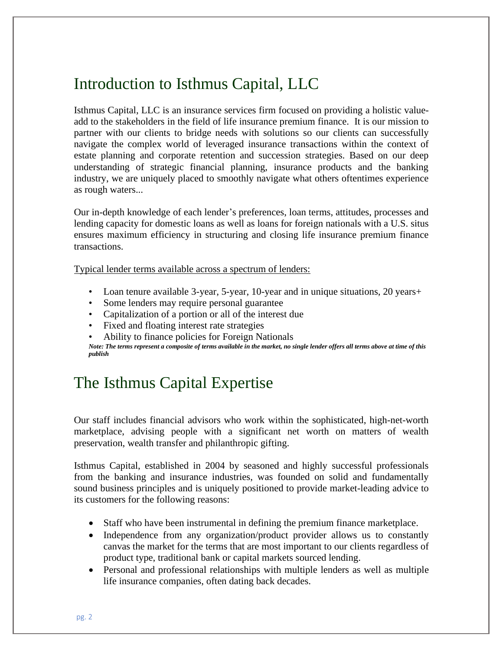# Introduction to Isthmus Capital, LLC

Isthmus Capital, LLC is an insurance services firm focused on providing a holistic valueadd to the stakeholders in the field of life insurance premium finance. It is our mission to partner with our clients to bridge needs with solutions so our clients can successfully navigate the complex world of leveraged insurance transactions within the context of estate planning and corporate retention and succession strategies. Based on our deep understanding of strategic financial planning, insurance products and the banking industry, we are uniquely placed to smoothly navigate what others oftentimes experience as rough waters...

Our in-depth knowledge of each lender's preferences, loan terms, attitudes, processes and lending capacity for domestic loans as well as loans for foreign nationals with a U.S. situs ensures maximum efficiency in structuring and closing life insurance premium finance transactions.

Typical lender terms available across a spectrum of lenders:

- Loan tenure available 3-year, 5-year, 10-year and in unique situations, 20 years +
- Some lenders may require personal guarantee
- Capitalization of a portion or all of the interest due
- Fixed and floating interest rate strategies
- Ability to finance policies for Foreign Nationals

*Note: The terms represent a composite of terms available in the market, no single lender offers all terms above at time of this publish*

# The Isthmus Capital Expertise

Our staff includes financial advisors who work within the sophisticated, high-net-worth marketplace, advising people with a significant net worth on matters of wealth preservation, wealth transfer and philanthropic gifting.

Isthmus Capital, established in 2004 by seasoned and highly successful professionals from the banking and insurance industries, was founded on solid and fundamentally sound business principles and is uniquely positioned to provide market-leading advice to its customers for the following reasons:

- Staff who have been instrumental in defining the premium finance marketplace.
- Independence from any organization/product provider allows us to constantly canvas the market for the terms that are most important to our clients regardless of product type, traditional bank or capital markets sourced lending.
- Personal and professional relationships with multiple lenders as well as multiple life insurance companies, often dating back decades.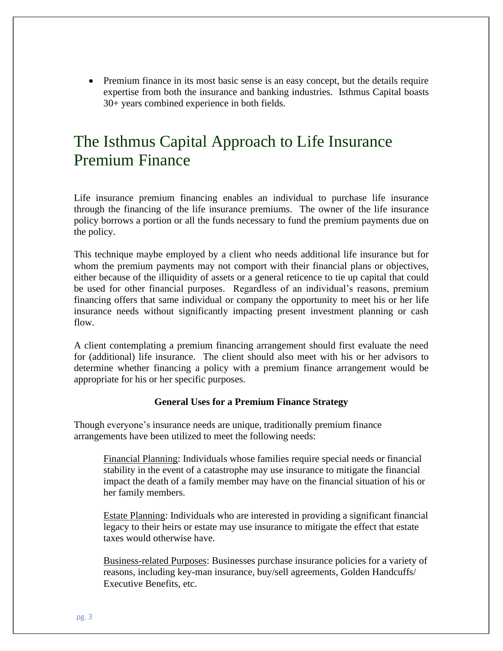• Premium finance in its most basic sense is an easy concept, but the details require expertise from both the insurance and banking industries. Isthmus Capital boasts 30+ years combined experience in both fields.

# The Isthmus Capital Approach to Life Insurance Premium Finance

Life insurance premium financing enables an individual to purchase life insurance through the financing of the life insurance premiums. The owner of the life insurance policy borrows a portion or all the funds necessary to fund the premium payments due on the policy.

This technique maybe employed by a client who needs additional life insurance but for whom the premium payments may not comport with their financial plans or objectives, either because of the illiquidity of assets or a general reticence to tie up capital that could be used for other financial purposes. Regardless of an individual's reasons, premium financing offers that same individual or company the opportunity to meet his or her life insurance needs without significantly impacting present investment planning or cash flow.

A client contemplating a premium financing arrangement should first evaluate the need for (additional) life insurance. The client should also meet with his or her advisors to determine whether financing a policy with a premium finance arrangement would be appropriate for his or her specific purposes.

#### **General Uses for a Premium Finance Strategy**

Though everyone's insurance needs are unique, traditionally premium finance arrangements have been utilized to meet the following needs:

Financial Planning: Individuals whose families require special needs or financial stability in the event of a catastrophe may use insurance to mitigate the financial impact the death of a family member may have on the financial situation of his or her family members.

Estate Planning: Individuals who are interested in providing a significant financial legacy to their heirs or estate may use insurance to mitigate the effect that estate taxes would otherwise have.

Business-related Purposes: Businesses purchase insurance policies for a variety of reasons, including key-man insurance, buy/sell agreements, Golden Handcuffs/ Executive Benefits, etc.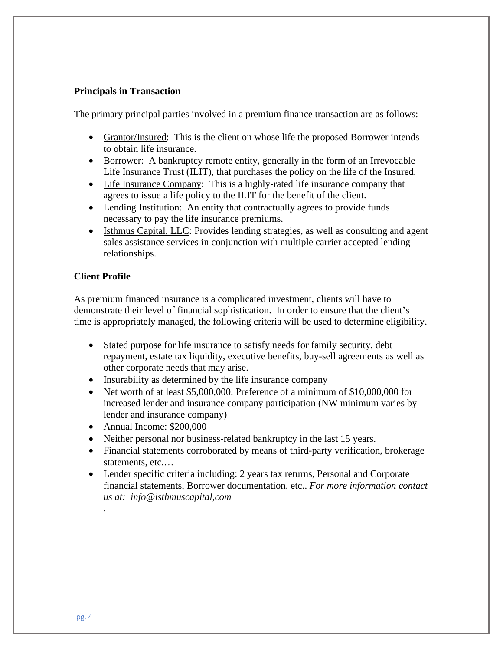#### **Principals in Transaction**

The primary principal parties involved in a premium finance transaction are as follows:

- Grantor/Insured: This is the client on whose life the proposed Borrower intends to obtain life insurance.
- Borrower: A bankruptcy remote entity, generally in the form of an Irrevocable Life Insurance Trust (ILIT), that purchases the policy on the life of the Insured.
- Life Insurance Company: This is a highly-rated life insurance company that agrees to issue a life policy to the ILIT for the benefit of the client.
- Lending Institution: An entity that contractually agrees to provide funds necessary to pay the life insurance premiums.
- Isthmus Capital, LLC: Provides lending strategies, as well as consulting and agent sales assistance services in conjunction with multiple carrier accepted lending relationships.

#### **Client Profile**

As premium financed insurance is a complicated investment, clients will have to demonstrate their level of financial sophistication. In order to ensure that the client's time is appropriately managed, the following criteria will be used to determine eligibility.

- Stated purpose for life insurance to satisfy needs for family security, debt repayment, estate tax liquidity, executive benefits, buy-sell agreements as well as other corporate needs that may arise.
- Insurability as determined by the life insurance company
- Net worth of at least \$5,000,000. Preference of a minimum of \$10,000,000 for increased lender and insurance company participation (NW minimum varies by lender and insurance company)
- Annual Income: \$200,000
- Neither personal nor business-related bankruptcy in the last 15 years.
- Financial statements corroborated by means of third-party verification, brokerage statements, etc.…
- Lender specific criteria including: 2 years tax returns, Personal and Corporate financial statements, Borrower documentation, etc.. *For more information contact us at: info@isthmuscapital,com*

.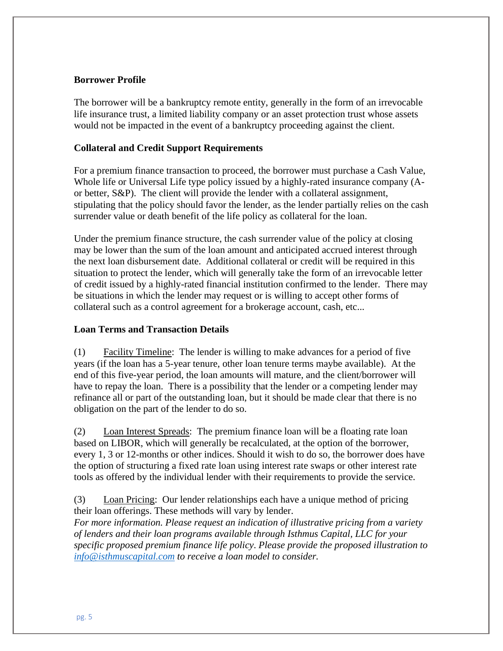### **Borrower Profile**

The borrower will be a bankruptcy remote entity, generally in the form of an irrevocable life insurance trust, a limited liability company or an asset protection trust whose assets would not be impacted in the event of a bankruptcy proceeding against the client.

### **Collateral and Credit Support Requirements**

For a premium finance transaction to proceed, the borrower must purchase a Cash Value, Whole life or Universal Life type policy issued by a highly-rated insurance company (Aor better, S&P). The client will provide the lender with a collateral assignment, stipulating that the policy should favor the lender, as the lender partially relies on the cash surrender value or death benefit of the life policy as collateral for the loan.

Under the premium finance structure, the cash surrender value of the policy at closing may be lower than the sum of the loan amount and anticipated accrued interest through the next loan disbursement date. Additional collateral or credit will be required in this situation to protect the lender, which will generally take the form of an irrevocable letter of credit issued by a highly-rated financial institution confirmed to the lender. There may be situations in which the lender may request or is willing to accept other forms of collateral such as a control agreement for a brokerage account, cash, etc...

### **Loan Terms and Transaction Details**

(1) Facility Timeline: The lender is willing to make advances for a period of five years (if the loan has a 5-year tenure, other loan tenure terms maybe available). At the end of this five-year period, the loan amounts will mature, and the client/borrower will have to repay the loan. There is a possibility that the lender or a competing lender may refinance all or part of the outstanding loan, but it should be made clear that there is no obligation on the part of the lender to do so.

(2) Loan Interest Spreads: The premium finance loan will be a floating rate loan based on LIBOR, which will generally be recalculated, at the option of the borrower, every 1, 3 or 12-months or other indices. Should it wish to do so, the borrower does have the option of structuring a fixed rate loan using interest rate swaps or other interest rate tools as offered by the individual lender with their requirements to provide the service.

(3) Loan Pricing: Our lender relationships each have a unique method of pricing their loan offerings. These methods will vary by lender.

*For more information. Please request an indication of illustrative pricing from a variety of lenders and their loan programs available through Isthmus Capital, LLC for your specific proposed premium finance life policy*. *Please provide the proposed illustration to [info@isthmuscapital.com](mailto:info@isthmuscapital.com) to receive a loan model to consider.*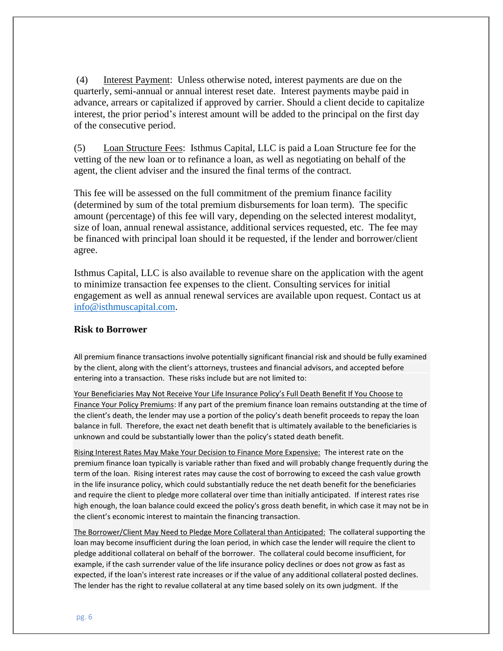(4) Interest Payment: Unless otherwise noted, interest payments are due on the quarterly, semi-annual or annual interest reset date. Interest payments maybe paid in advance, arrears or capitalized if approved by carrier. Should a client decide to capitalize interest, the prior period's interest amount will be added to the principal on the first day of the consecutive period.

(5) Loan Structure Fees: Isthmus Capital, LLC is paid a Loan Structure fee for the vetting of the new loan or to refinance a loan, as well as negotiating on behalf of the agent, the client adviser and the insured the final terms of the contract.

This fee will be assessed on the full commitment of the premium finance facility (determined by sum of the total premium disbursements for loan term). The specific amount (percentage) of this fee will vary, depending on the selected interest modalityt, size of loan, annual renewal assistance, additional services requested, etc. The fee may be financed with principal loan should it be requested, if the lender and borrower/client agree.

Isthmus Capital, LLC is also available to revenue share on the application with the agent to minimize transaction fee expenses to the client. Consulting services for initial engagement as well as annual renewal services are available upon request. Contact us at [info@isthmuscapital.com.](mailto:info@isthmuscapital.com)

#### **Risk to Borrower**

All premium finance transactions involve potentially significant financial risk and should be fully examined by the client, along with the client's attorneys, trustees and financial advisors, and accepted before entering into a transaction. These risks include but are not limited to:

Your Beneficiaries May Not Receive Your Life Insurance Policy's Full Death Benefit If You Choose to Finance Your Policy Premiums: If any part of the premium finance loan remains outstanding at the time of the client's death, the lender may use a portion of the policy's death benefit proceeds to repay the loan balance in full. Therefore, the exact net death benefit that is ultimately available to the beneficiaries is unknown and could be substantially lower than the policy's stated death benefit.

Rising Interest Rates May Make Your Decision to Finance More Expensive: The interest rate on the premium finance loan typically is variable rather than fixed and will probably change frequently during the term of the loan. Rising interest rates may cause the cost of borrowing to exceed the cash value growth in the life insurance policy, which could substantially reduce the net death benefit for the beneficiaries and require the client to pledge more collateral over time than initially anticipated. If interest rates rise high enough, the loan balance could exceed the policy's gross death benefit, in which case it may not be in the client's economic interest to maintain the financing transaction.

The Borrower/Client May Need to Pledge More Collateral than Anticipated: The collateral supporting the loan may become insufficient during the loan period, in which case the lender will require the client to pledge additional collateral on behalf of the borrower. The collateral could become insufficient, for example, if the cash surrender value of the life insurance policy declines or does not grow as fast as expected, if the loan's interest rate increases or if the value of any additional collateral posted declines. The lender has the right to revalue collateral at any time based solely on its own judgment. If the